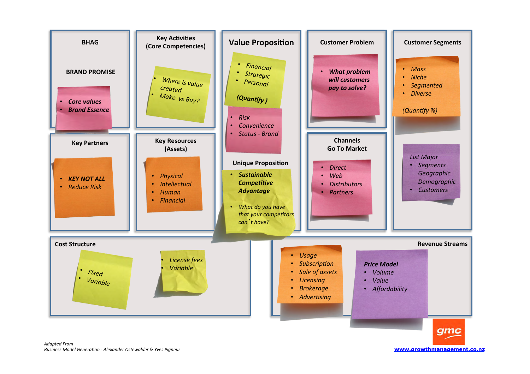